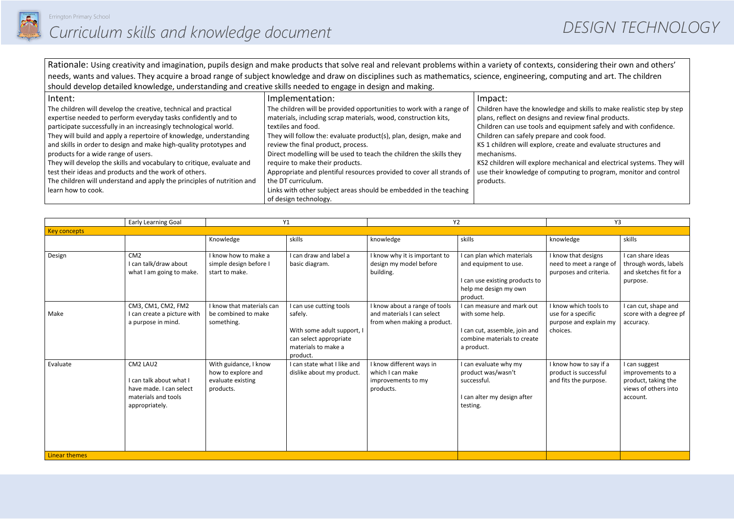

Rationale: Using creativity and imagination, pupils design and make products that solve real and relevant problems within a variety of contexts, considering their own and others' needs, wants and values. They acquire a broad range of subject knowledge and draw on disciplines such as mathematics, science, engineering, computing and art. The children should develop detailed knowledge, understanding and creative skills needed to engage in design and making.

| Intent:                                                                | Implementation:                                                      | Impact:                      |
|------------------------------------------------------------------------|----------------------------------------------------------------------|------------------------------|
| The children will develop the creative, technical and practical        | The children will be provided opportunities to work with a range of  | Children have the knowled    |
| expertise needed to perform everyday tasks confidently and to          | materials, including scrap materials, wood, construction kits,       | plans, reflect on designs ar |
| participate successfully in an increasingly technological world.       | textiles and food.                                                   | Children can use tools and   |
| They will build and apply a repertoire of knowledge, understanding     | They will follow the: evaluate product(s), plan, design, make and    | Children can safely prepare  |
| and skills in order to design and make high-quality prototypes and     | review the final product, process.                                   | KS 1 children will explore,  |
| products for a wide range of users.                                    | Direct modelling will be used to teach the children the skills they  | mechanisms.                  |
| They will develop the skills and vocabulary to critique, evaluate and  | require to make their products.                                      | KS2 children will explore m  |
| test their ideas and products and the work of others.                  | Appropriate and plentiful resources provided to cover all strands of | use their knowledge of cor   |
| The children will understand and apply the principles of nutrition and | the DT curriculum.                                                   | products.                    |
| learn how to cook.                                                     | Links with other subject areas should be embedded in the teaching    |                              |
|                                                                        | of design technology.                                                |                              |

|                      | Early Learning Goal                                                                                     | Y1                                                                            |                                                                                                                               | Y2                                                                                         |                                                                                                                             | Y3                                                                                |                                                                                               |
|----------------------|---------------------------------------------------------------------------------------------------------|-------------------------------------------------------------------------------|-------------------------------------------------------------------------------------------------------------------------------|--------------------------------------------------------------------------------------------|-----------------------------------------------------------------------------------------------------------------------------|-----------------------------------------------------------------------------------|-----------------------------------------------------------------------------------------------|
| <b>Key concepts</b>  |                                                                                                         |                                                                               |                                                                                                                               |                                                                                            |                                                                                                                             |                                                                                   |                                                                                               |
|                      |                                                                                                         | Knowledge                                                                     | skills                                                                                                                        | knowledge                                                                                  | skills                                                                                                                      | knowledge                                                                         | skills                                                                                        |
| Design               | CM2<br>I can talk/draw about<br>what I am going to make.                                                | I know how to make a<br>simple design before I<br>start to make.              | I can draw and label a<br>basic diagram.                                                                                      | I know why it is important to<br>design my model before<br>building.                       | I can plan which materials<br>and equipment to use.<br>I can use existing products to<br>help me design my own<br>product.  | I know that designs<br>need to meet a range of<br>purposes and criteria.          | I can share ideas<br>through words, labels<br>and sketches fit for a<br>purpose.              |
| Make                 | CM3, CM1, CM2, FM2<br>I can create a picture with<br>a purpose in mind.                                 | I know that materials can<br>be combined to make<br>something.                | I can use cutting tools<br>safely.<br>With some adult support, I<br>can select appropriate<br>materials to make a<br>product. | I know about a range of tools<br>and materials I can select<br>from when making a product. | I can measure and mark out<br>with some help.<br>I can cut, assemble, join and<br>combine materials to create<br>a product. | I know which tools to<br>use for a specific<br>purpose and explain my<br>choices. | I can cut, shape and<br>score with a degree pf<br>accuracy.                                   |
| Evaluate             | CM2 LAU2<br>I can talk about what I<br>have made. I can select<br>materials and tools<br>appropriately. | With guidance, I know<br>how to explore and<br>evaluate existing<br>products. | I can state what I like and<br>dislike about my product.                                                                      | I know different ways in<br>which I can make<br>improvements to my<br>products.            | I can evaluate why my<br>product was/wasn't<br>successful.<br>I can alter my design after<br>testing.                       | I know how to say if a<br>product is successful<br>and fits the purpose.          | I can suggest<br>improvements to a<br>product, taking the<br>views of others into<br>account. |
| <b>Linear themes</b> |                                                                                                         |                                                                               |                                                                                                                               |                                                                                            |                                                                                                                             |                                                                                   |                                                                                               |

- dge and skills to make realistic step by step nd review final products.
- equipment safely and with confidence. e and cook food.
- create and evaluate structures and
- mechanical and electrical systems. They will mputing to program, monitor and control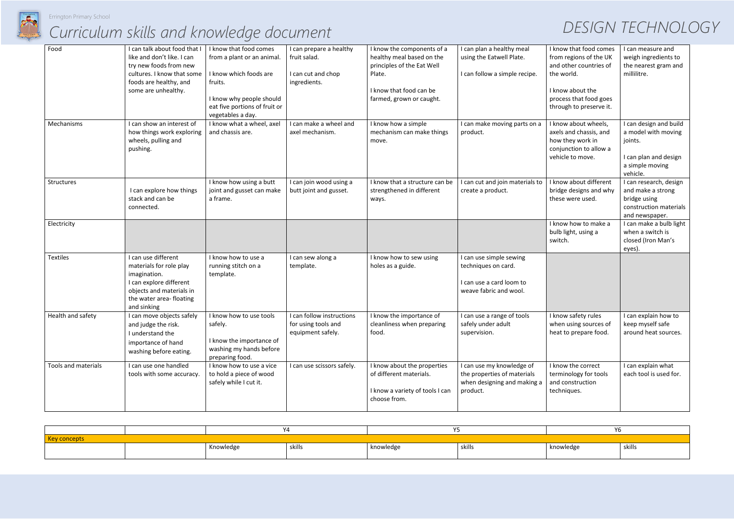

# *Curriculum skills and knowledge document DESIGN TECHNOLOGY*

| Food                | I can talk about food that I | I know that food comes                               | I can prepare a healthy                           | I know the components of a      | I can plan a healthy meal       | I know that food comes  | I can measure and                           |
|---------------------|------------------------------|------------------------------------------------------|---------------------------------------------------|---------------------------------|---------------------------------|-------------------------|---------------------------------------------|
|                     | like and don't like. I can   | from a plant or an animal.                           | fruit salad.                                      | healthy meal based on the       | using the Eatwell Plate.        | from regions of the UK  | weigh ingredients to                        |
|                     | try new foods from new       |                                                      |                                                   | principles of the Eat Well      |                                 | and other countries of  | the nearest gram and                        |
|                     | cultures. I know that some   | I know which foods are                               | I can cut and chop                                | Plate.                          | I can follow a simple recipe.   | the world.              | millilitre.                                 |
|                     | foods are healthy, and       | fruits.                                              | ingredients.                                      |                                 |                                 |                         |                                             |
|                     | some are unhealthy.          |                                                      |                                                   | I know that food can be         |                                 | I know about the        |                                             |
|                     |                              | I know why people should                             |                                                   | farmed, grown or caught.        |                                 | process that food goes  |                                             |
|                     |                              | eat five portions of fruit or                        |                                                   |                                 |                                 | through to preserve it. |                                             |
|                     |                              | vegetables a day.                                    |                                                   |                                 |                                 |                         |                                             |
| Mechanisms          | I can show an interest of    | I know what a wheel, axel                            | I can make a wheel and                            | I know how a simple             | I can make moving parts on a    | I know about wheels,    | I can design and build                      |
|                     | how things work exploring    | and chassis are.                                     | axel mechanism.                                   | mechanism can make things       | product.                        | axels and chassis, and  | a model with moving                         |
|                     | wheels, pulling and          |                                                      |                                                   | move.                           |                                 | how they work in        | joints.                                     |
|                     | pushing.                     |                                                      |                                                   |                                 |                                 | conjunction to allow a  |                                             |
|                     |                              |                                                      |                                                   |                                 |                                 | vehicle to move.        | I can plan and design                       |
|                     |                              |                                                      |                                                   |                                 |                                 |                         | a simple moving<br>vehicle.                 |
| Structures          |                              |                                                      |                                                   | I know that a structure can be  | I can cut and join materials to | I know about different  |                                             |
|                     | I can explore how things     | I know how using a butt<br>joint and gusset can make | I can join wood using a<br>butt joint and gusset. | strengthened in different       | create a product.               | bridge designs and why  | I can research, design<br>and make a strong |
|                     | stack and can be             | a frame.                                             |                                                   | ways.                           |                                 | these were used.        | bridge using                                |
|                     | connected.                   |                                                      |                                                   |                                 |                                 |                         | construction materials                      |
|                     |                              |                                                      |                                                   |                                 |                                 |                         | and newspaper.                              |
| Electricity         |                              |                                                      |                                                   |                                 |                                 | I know how to make a    | I can make a bulb light                     |
|                     |                              |                                                      |                                                   |                                 |                                 | bulb light, using a     | when a switch is                            |
|                     |                              |                                                      |                                                   |                                 |                                 | switch.                 | closed (Iron Man's                          |
|                     |                              |                                                      |                                                   |                                 |                                 |                         | eyes).                                      |
| <b>Textiles</b>     | I can use different          | I know how to use a                                  | I can sew along a                                 | I know how to sew using         | I can use simple sewing         |                         |                                             |
|                     | materials for role play      | running stitch on a                                  | template.                                         | holes as a guide.               | techniques on card.             |                         |                                             |
|                     | imagination.                 | template.                                            |                                                   |                                 |                                 |                         |                                             |
|                     | I can explore different      |                                                      |                                                   |                                 | I can use a card loom to        |                         |                                             |
|                     | objects and materials in     |                                                      |                                                   |                                 | weave fabric and wool.          |                         |                                             |
|                     | the water area-floating      |                                                      |                                                   |                                 |                                 |                         |                                             |
|                     | and sinking                  |                                                      |                                                   |                                 |                                 |                         |                                             |
| Health and safety   | I can move objects safely    | I know how to use tools                              | I can follow instructions                         | I know the importance of        | I can use a range of tools      | I know safety rules     | I can explain how to                        |
|                     | and judge the risk.          | safely.                                              | for using tools and                               | cleanliness when preparing      | safely under adult              | when using sources of   | keep myself safe                            |
|                     | I understand the             |                                                      | equipment safely.                                 | food.                           | supervision.                    | heat to prepare food.   | around heat sources.                        |
|                     | importance of hand           | I know the importance of                             |                                                   |                                 |                                 |                         |                                             |
|                     | washing before eating.       | washing my hands before                              |                                                   |                                 |                                 |                         |                                             |
|                     |                              | preparing food.                                      |                                                   |                                 |                                 |                         |                                             |
| Tools and materials | I can use one handled        | I know how to use a vice                             | I can use scissors safely.                        | I know about the properties     | I can use my knowledge of       | I know the correct      | I can explain what                          |
|                     | tools with some accuracy.    | to hold a piece of wood                              |                                                   | of different materials.         | the properties of materials     | terminology for tools   | each tool is used for.                      |
|                     |                              | safely while I cut it.                               |                                                   |                                 | when designing and making a     | and construction        |                                             |
|                     |                              |                                                      |                                                   | I know a variety of tools I can | product.                        | techniques.             |                                             |
|                     |                              |                                                      |                                                   | choose from.                    |                                 |                         |                                             |
|                     |                              |                                                      |                                                   |                                 |                                 |                         |                                             |

|                 |  |           |        |           |        | YO.       |        |
|-----------------|--|-----------|--------|-----------|--------|-----------|--------|
| <b>concepts</b> |  |           |        |           |        |           |        |
|                 |  | Knowledge | skills | knowledge | skills | knowledge | skills |
|                 |  |           |        |           |        |           |        |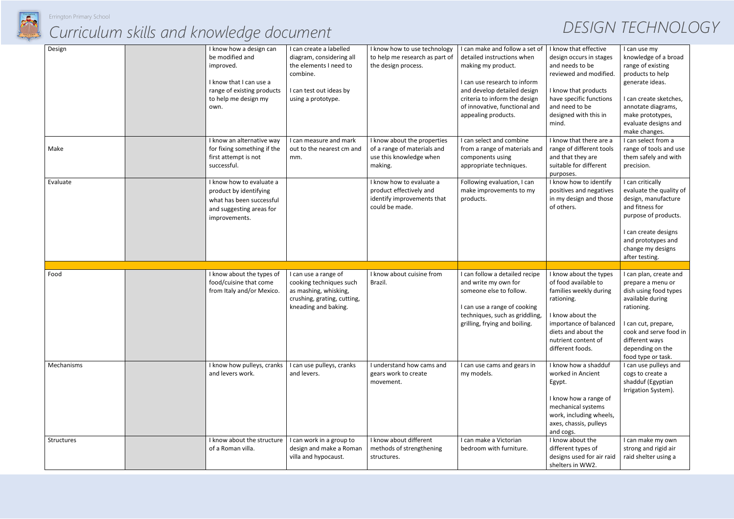

# *Curriculum skills and knowledge document DESIGN TECHNOLOGY*

| Design     | I know how a design can<br>be modified and<br>improved.<br>I know that I can use a<br>range of existing products<br>to help me design my<br>own. | I can create a labelled<br>diagram, considering all<br>the elements I need to<br>combine.<br>I can test out ideas by<br>using a prototype. | I know how to use technology<br>to help me research as part of<br>the design process.               | I can make and follow a set of<br>detailed instructions when<br>making my product.<br>I can use research to inform<br>and develop detailed design<br>criteria to inform the design<br>of innovative, functional and<br>appealing products. | I know that effective<br>design occurs in stages<br>and needs to be<br>reviewed and modified.<br>I know that products<br>have specific functions<br>and need to be<br>designed with this in<br>mind.   | I can use my<br>knowledge of a broad<br>range of existing<br>products to help<br>generate ideas.<br>I can create sketches,<br>annotate diagrams,<br>make prototypes,<br>evaluate designs and<br>make changes.       |
|------------|--------------------------------------------------------------------------------------------------------------------------------------------------|--------------------------------------------------------------------------------------------------------------------------------------------|-----------------------------------------------------------------------------------------------------|--------------------------------------------------------------------------------------------------------------------------------------------------------------------------------------------------------------------------------------------|--------------------------------------------------------------------------------------------------------------------------------------------------------------------------------------------------------|---------------------------------------------------------------------------------------------------------------------------------------------------------------------------------------------------------------------|
| Make       | I know an alternative way<br>for fixing something if the<br>first attempt is not<br>successful.                                                  | I can measure and mark<br>out to the nearest cm and<br>mm.                                                                                 | I know about the properties<br>of a range of materials and<br>use this knowledge when<br>making.    | I can select and combine<br>from a range of materials and<br>components using<br>appropriate techniques.                                                                                                                                   | I know that there are a<br>range of different tools<br>and that they are<br>suitable for different<br>purposes.                                                                                        | I can select from a<br>range of tools and use<br>them safely and with<br>precision.                                                                                                                                 |
| Evaluate   | I know how to evaluate a<br>product by identifying<br>what has been successful<br>and suggesting areas for<br>improvements.                      |                                                                                                                                            | I know how to evaluate a<br>product effectively and<br>identify improvements that<br>could be made. | Following evaluation, I can<br>make improvements to my<br>products.                                                                                                                                                                        | I know how to identify<br>positives and negatives<br>in my design and those<br>of others.                                                                                                              | I can critically<br>evaluate the quality of<br>design, manufacture<br>and fitness for<br>purpose of products.<br>I can create designs<br>and prototypes and<br>change my designs<br>after testing.                  |
| Food       | I know about the types of<br>food/cuisine that come<br>from Italy and/or Mexico.                                                                 | I can use a range of<br>cooking techniques such<br>as mashing, whisking,<br>crushing, grating, cutting,<br>kneading and baking.            | I know about cuisine from<br>Brazil.                                                                | I can follow a detailed recipe<br>and write my own for<br>someone else to follow.<br>I can use a range of cooking<br>techniques, such as griddling,<br>grilling, frying and boiling.                                                       | I know about the types<br>of food available to<br>families weekly during<br>rationing.<br>I know about the<br>importance of balanced<br>diets and about the<br>nutrient content of<br>different foods. | I can plan, create and<br>prepare a menu or<br>dish using food types<br>available during<br>rationing.<br>I can cut, prepare,<br>cook and serve food in<br>different ways<br>depending on the<br>food type or task. |
| Mechanisms | I know how pulleys, cranks<br>and levers work.                                                                                                   | I can use pulleys, cranks<br>and levers.                                                                                                   | I understand how cams and<br>gears work to create<br>movement.                                      | I can use cams and gears in<br>my models.                                                                                                                                                                                                  | I know how a shadduf<br>worked in Ancient<br>Egypt.<br>I know how a range of<br>mechanical systems<br>work, including wheels,<br>axes, chassis, pulleys<br>and cogs.                                   | I can use pulleys and<br>cogs to create a<br>shadduf (Egyptian<br>Irrigation System).                                                                                                                               |
| Structures | I know about the structure<br>of a Roman villa.                                                                                                  | I can work in a group to<br>design and make a Roman<br>villa and hypocaust.                                                                | I know about different<br>methods of strengthening<br>structures.                                   | I can make a Victorian<br>bedroom with furniture.                                                                                                                                                                                          | I know about the<br>different types of<br>designs used for air raid<br>shelters in WW2.                                                                                                                | I can make my own<br>strong and rigid air<br>raid shelter using a                                                                                                                                                   |